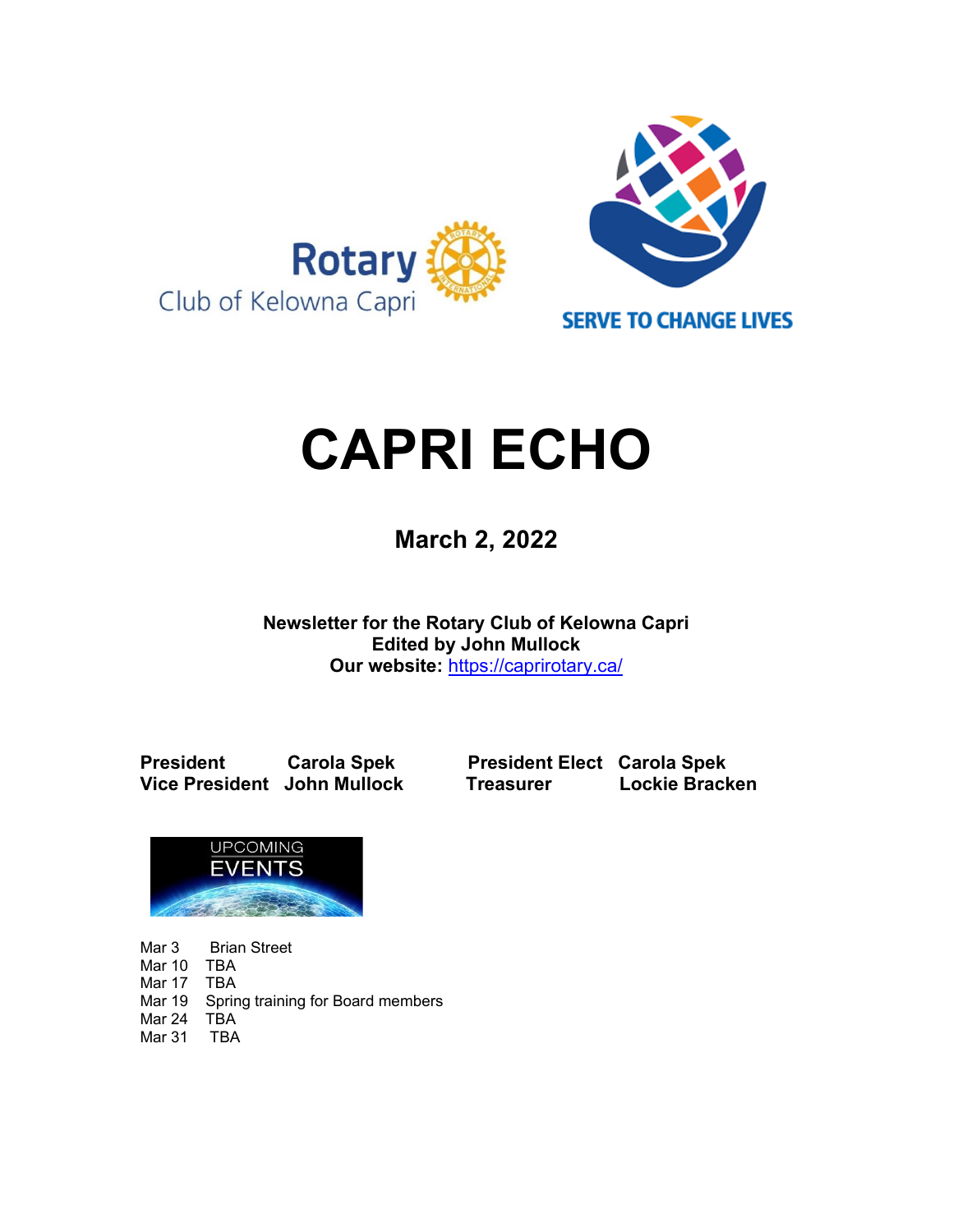

# **CAPRI ECHO**

 **March 2, <sup>2022</sup>**

**Newsletter for the Rotary Club of Kelowna Capri Edited by John Mullock Our website:** <https://caprirotary.ca/>

**Vice President John Mullock Treasurer** 

**President Carola Spek President Elect Carola Spek<br>
Vice President John Mullock Treasurer Lockie Bracken** 



Mar 3 Brian Street Mar 10 TBA Mar 17 TBA Mar 19 Spring training for Board members Mar 24 TBA Mar 31 TBA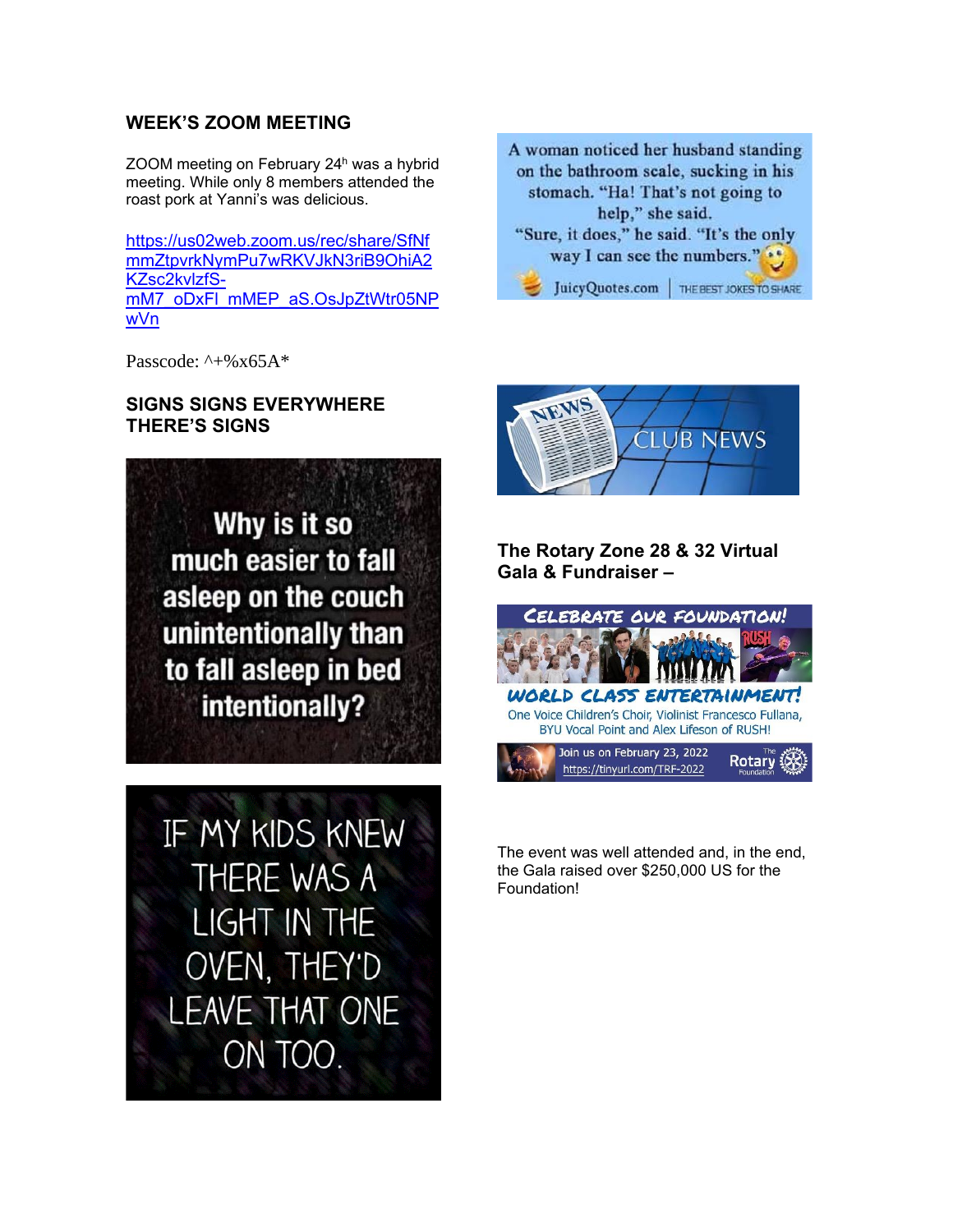## **WEEK'S ZOOM MEETING**

ZOOM meeting on February 24<sup>h</sup> was a hybrid meeting. While only 8 members attended the roast pork at Yanni's was delicious.

[https://us02web.zoom.us/rec/share/SfNf](https://us02web.zoom.us/rec/share/SfNfmmZtpvrkNymPu7wRKVJkN3riB9OhiA2KZsc2kvlzfS-mM7_oDxFl_mMEP_aS.OsJpZtWtr05NPwVn) [mmZtpvrkNymPu7wRKVJkN3riB9OhiA2](https://us02web.zoom.us/rec/share/SfNfmmZtpvrkNymPu7wRKVJkN3riB9OhiA2KZsc2kvlzfS-mM7_oDxFl_mMEP_aS.OsJpZtWtr05NPwVn) [KZsc2kvlzfS](https://us02web.zoom.us/rec/share/SfNfmmZtpvrkNymPu7wRKVJkN3riB9OhiA2KZsc2kvlzfS-mM7_oDxFl_mMEP_aS.OsJpZtWtr05NPwVn)[mM7\\_oDxFl\\_mMEP\\_aS.OsJpZtWtr05NP](https://us02web.zoom.us/rec/share/SfNfmmZtpvrkNymPu7wRKVJkN3riB9OhiA2KZsc2kvlzfS-mM7_oDxFl_mMEP_aS.OsJpZtWtr05NPwVn) [wVn](https://us02web.zoom.us/rec/share/SfNfmmZtpvrkNymPu7wRKVJkN3riB9OhiA2KZsc2kvlzfS-mM7_oDxFl_mMEP_aS.OsJpZtWtr05NPwVn)

Passcode:  $^{\wedge}$  +%x65A\*

#### **SIGNS SIGNS EVERYWHERE THERE'S SIGNS**



IF MY KIDS KNEW THERE WAS A LIGHT IN THE OVEN, THEY'D **LEAVE THAT ONE** ON TOO.





## **The Rotary Zone 28 & 32 Virtual Gala & Fundraiser –**



The event was well attended and, in the end, the Gala raised over \$250,000 US for the Foundation!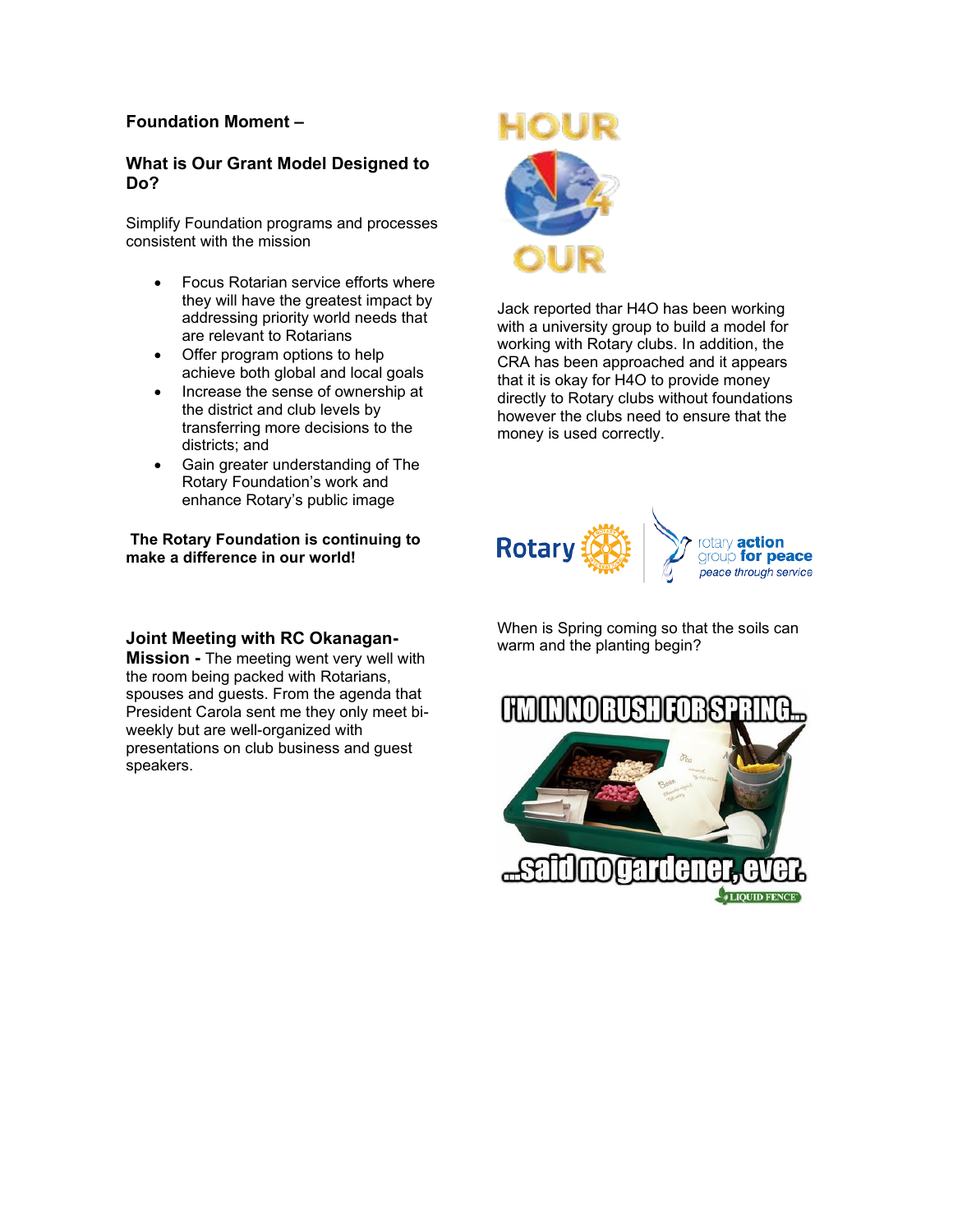#### **Foundation Moment –**

#### **What is Our Grant Model Designed to Do?**

Simplify Foundation programs and processes consistent with the mission

- Focus Rotarian service efforts where they will have the greatest impact by addressing priority world needs that are relevant to Rotarians
- Offer program options to help achieve both global and local goals
- Increase the sense of ownership at the district and club levels by transferring more decisions to the districts; and
- Gain greater understanding of The Rotary Foundation's work and enhance Rotary's public image

**The Rotary Foundation is continuing to make a difference in our world!**

#### **Joint Meeting with RC Okanagan-**

**Mission -** The meeting went very well with the room being packed with Rotarians, spouses and guests. From the agenda that President Carola sent me they only meet biweekly but are well-organized with presentations on club business and guest speakers.



Jack reported thar H4O has been working with a university group to build a model for working with Rotary clubs. In addition, the CRA has been approached and it appears that it is okay for H4O to provide money directly to Rotary clubs without foundations however the clubs need to ensure that the money is used correctly.



When is Spring coming so that the soils can warm and the planting begin?

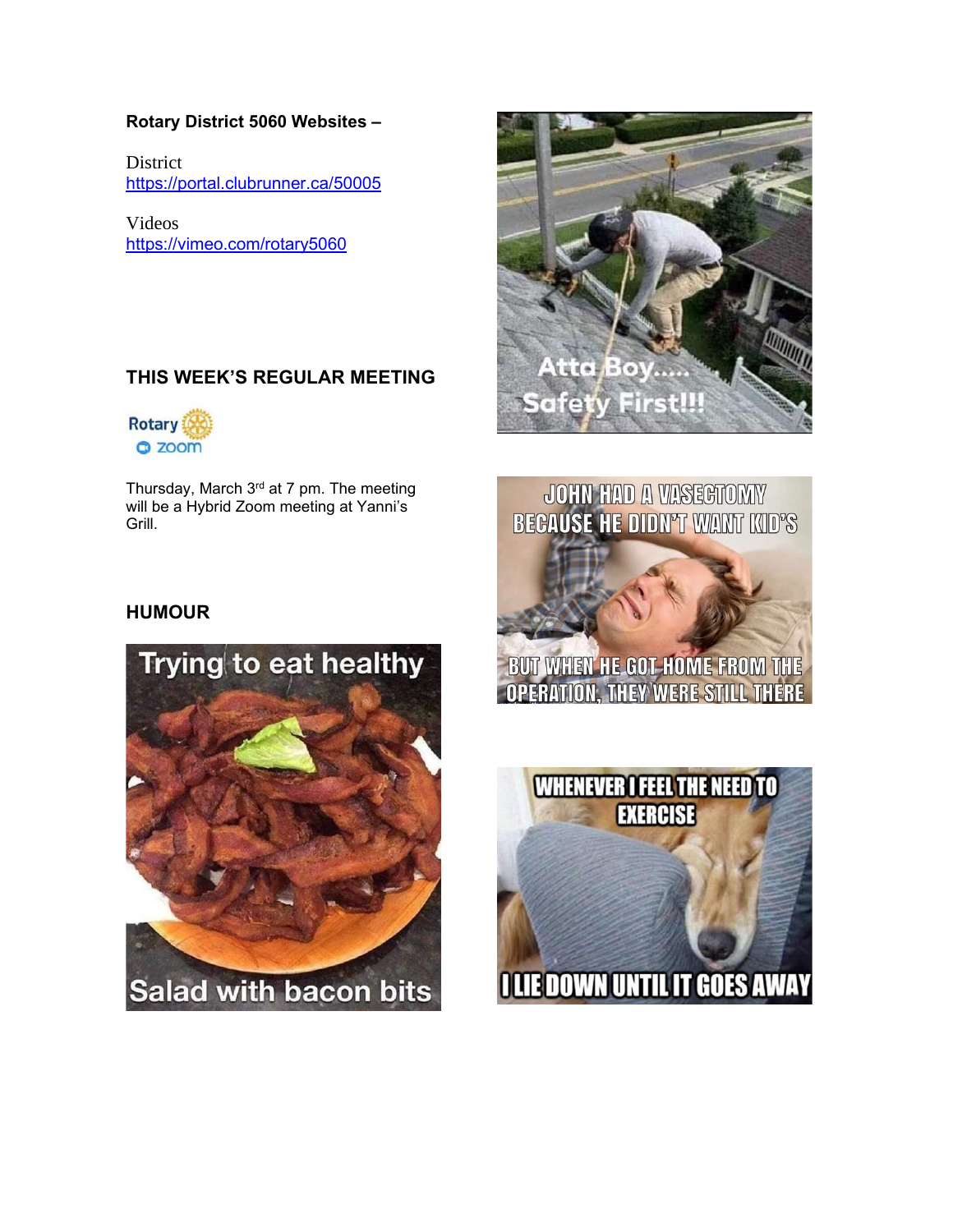#### **Rotary District 5060 Websites –**

**District** <https://portal.clubrunner.ca/50005>

Videos <https://vimeo.com/rotary5060>

# **THIS WEEK'S REGULAR MEETING**



Thursday, March 3<sup>rd</sup> at 7 pm. The meeting will be a Hybrid Zoom meeting at Yanni's Grill.



JOHN HAD A VASEGTOMY **BECAUSE HE DIDN'T WANT KID'S** 

## **HUMOUR**





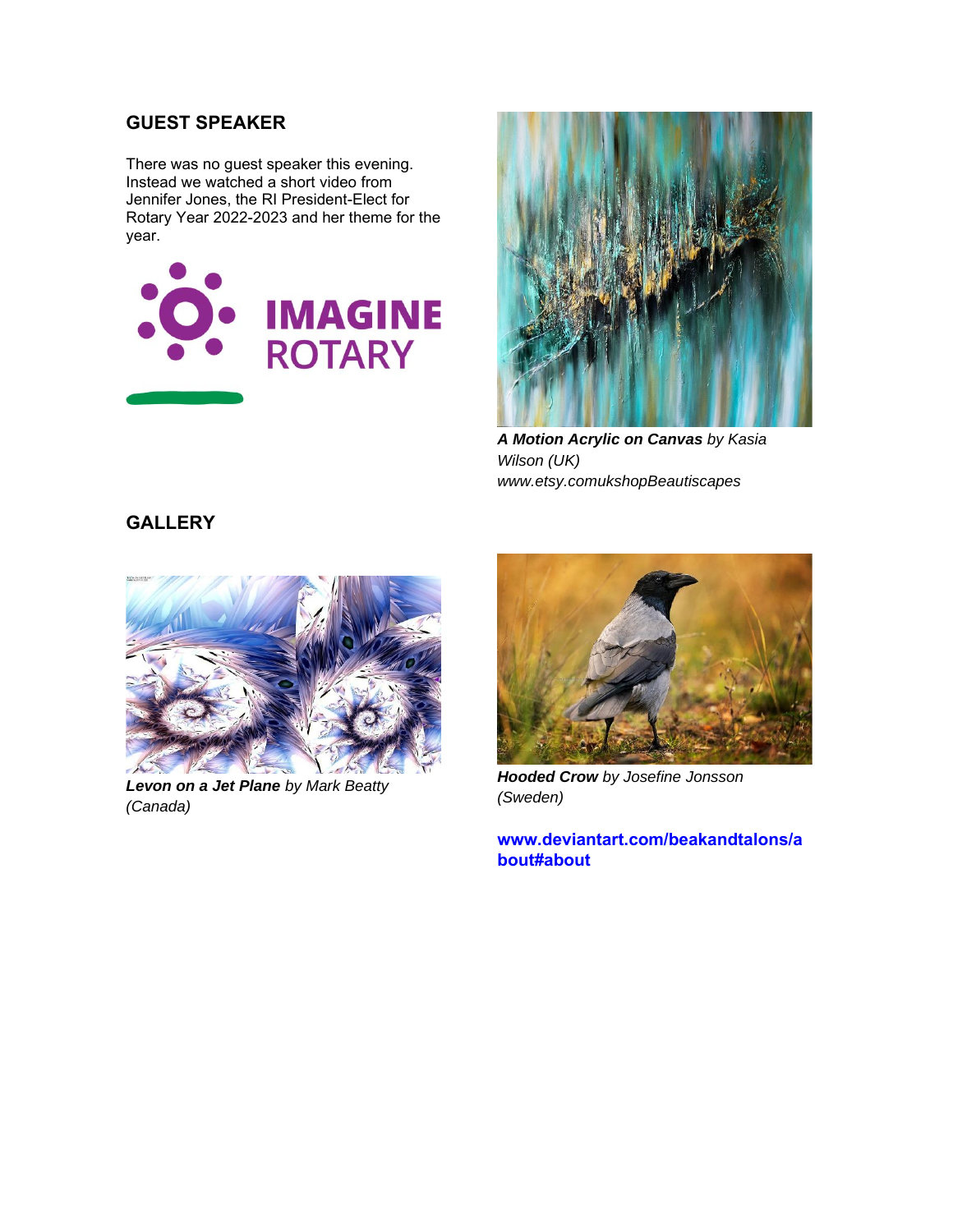## **GUEST SPEAKER**

There was no guest speaker this evening. Instead we watched a short video from Jennifer Jones, the RI President-Elect for Rotary Year 2022-2023 and her theme for the year.





*A Motion Acrylic on Canvas by Kasia Wilson (UK) www.etsy.comukshopBeautiscapes*

#### **GALLERY**



*Levon on a Jet Plane by Mark Beatty (Canada)*



*Hooded Crow by Josefine Jonsson (Sweden)*

**[www.deviantart.com/beakandtalons/a](http://www.deviantart.com/beakandtalons/about#about) [bout#about](http://www.deviantart.com/beakandtalons/about#about)**